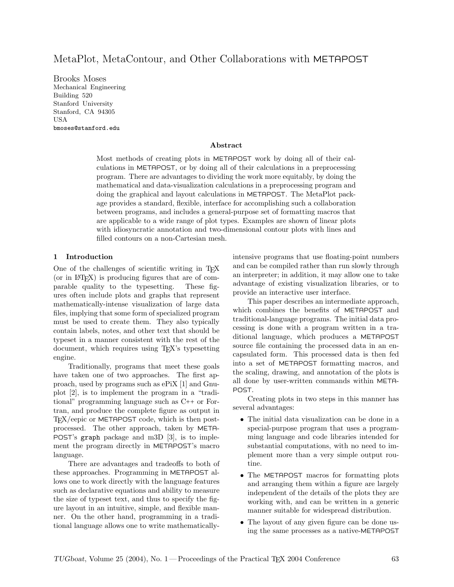# MetaPlot, MetaContour, and Other Collaborations with METAPOST

Brooks Moses Mechanical Engineering Building 520 Stanford University Stanford, CA 94305 USA bmoses@stanford.edu

### Abstract

Most methods of creating plots in METAPOST work by doing all of their calculations in METAPOST, or by doing all of their calculations in a preprocessing program. There are advantages to dividing the work more equitably, by doing the mathematical and data-visualization calculations in a preprocessing program and doing the graphical and layout calculations in METAPOST. The MetaPlot package provides a standard, flexible, interface for accomplishing such a collaboration between programs, and includes a general-purpose set of formatting macros that are applicable to a wide range of plot types. Examples are shown of linear plots with idiosyncratic annotation and two-dimensional contour plots with lines and filled contours on a non-Cartesian mesh.

### 1 Introduction

One of the challenges of scientific writing in TEX  ${\rm (or in L^2TFX)}$  is producing figures that are of comparable quality to the typesetting. These figures often include plots and graphs that represent mathematically-intense visualization of large data files, implying that some form of specialized program must be used to create them. They also typically contain labels, notes, and other text that should be typeset in a manner consistent with the rest of the document, which requires using TEX's typesetting engine.

Traditionally, programs that meet these goals have taken one of two approaches. The first approach, used by programs such as ePiX [1] and Gnuplot [2], is to implement the program in a "traditional" programming language such as C++ or Fortran, and produce the complete figure as output in TEX/eepic or METAPOST code, which is then postprocessed. The other approach, taken by META-POST's graph package and m3D [3], is to implement the program directly in METAPOST's macro language.

There are advantages and tradeoffs to both of these approaches. Programming in METAPOST allows one to work directly with the language features such as declarative equations and ability to measure the size of typeset text, and thus to specify the figure layout in an intuitive, simple, and flexible manner. On the other hand, programming in a traditional language allows one to write mathematicallyintensive programs that use floating-point numbers and can be compiled rather than run slowly through an interpreter; in addition, it may allow one to take advantage of existing visualization libraries, or to provide an interactive user interface.

This paper describes an intermediate approach, which combines the benefits of METAPOST and traditional-language programs. The initial data processing is done with a program written in a traditional language, which produces a METAPOST source file containing the processed data in an encapsulated form. This processed data is then fed into a set of METAPOST formatting macros, and the scaling, drawing, and annotation of the plots is all done by user-written commands within META-POST.

Creating plots in two steps in this manner has several advantages:

- The initial data visualization can be done in a special-purpose program that uses a programming language and code libraries intended for substantial computations, with no need to implement more than a very simple output routine.
- The METAPOST macros for formatting plots and arranging them within a figure are largely independent of the details of the plots they are working with, and can be written in a generic manner suitable for widespread distribution.
- The layout of any given figure can be done using the same processes as a native-METAPOST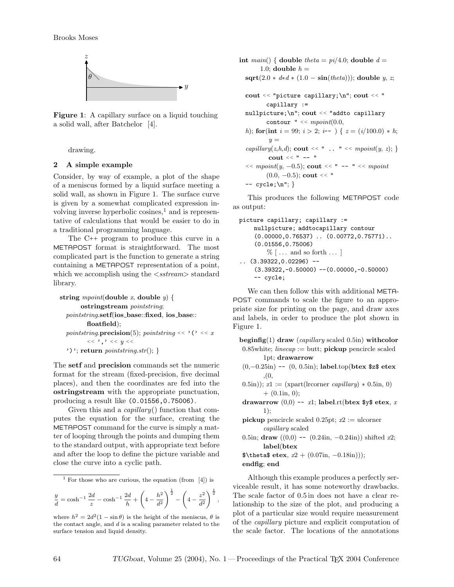

Figure 1: A capillary surface on a liquid touching a solid wall, after Batchelor [4].

drawing.

#### 2 A simple example

Consider, by way of example, a plot of the shape of a meniscus formed by a liquid surface meeting a solid wall, as shown in Figure 1. The surface curve is given by a somewhat complicated expression involving inverse hyperbolic cosines, $<sup>1</sup>$  and is represen-</sup> tative of calculations that would be easier to do in a traditional programming language.

The C++ program to produce this curve in a METAPOST format is straightforward. The most complicated part is the function to generate a string containing a METAPOST representation of a point, which we accomplish using the  $\langle$ stream $\rangle$  standard library.

```
string mpoint(double x, double y) {
      ostringstream pointstring;
 pointstring.setf(ios_base::fixed, ios_base::
        floatfield);
 pointstring.precision(5); pointstring << '('<< x<< ', ' << y<<')'; return pointsting.str();
```
The setf and precision commands set the numeric format for the stream (fixed-precision, five decimal places), and then the coordinates are fed into the ostringstream with the appropriate punctuation, producing a result like (0.01556,0.75006).

Given this and a capillary() function that computes the equation for the surface, creating the METAPOST command for the curve is simply a matter of looping through the points and dumping them to the standard output, with appropriate text before and after the loop to define the picture variable and close the curve into a cyclic path.

<sup>1</sup> For those who are curious, the equation (from  $[4]$ ) is

$$
\frac{y}{d} = \cosh^{-1} \frac{2d}{z} - \cosh^{-1} \frac{2d}{h} + \left(4 - \frac{h^2}{d^2}\right)^{\frac{1}{2}} - \left(4 - \frac{z^2}{d^2}\right)^{\frac{1}{2}},
$$

int main() { double theta =  $pi/4.0$ ; double  $d =$ 1.0; double  $h =$  $sqrt{(2.0 * d * d * (1.0 - sin(theta))};$  double y, z; cout << "picture capillary;\n"; cout << " capillary := nullpicture;\n"; cout << "addto capillary contour  $" << mpoint(0.0,$ h); for(int  $i = 99$ ;  $i > 2$ ;  $i$ -- ) {  $z = (i/100.0) * h$ ;  $y =$ capillary(z,h,d); cout << " .. " <<  $mpoint(y, z)$ ; } cout  $<<$  "  $--$  "  $<< mpoint(y, -0.5);$  cout  $<<$  " -- "  $<< mpoint$  $(0.0, -0.5)$ ; cout << "  $-- cycle$ ; \n"; }

This produces the following METAPOST code as output:

```
picture capillary; capillary :=
    nullpicture; addtocapillary contour
    (0.00000,0.76537) .. (0.00772,0.75771)..
    (0.01556,0.75006)
        \% \left[ \ldots \right] and so forth \ldots(3.39322, 0.02296) --
    (3.39322,-0.50000) --(0.00000,-0.50000)-- cycle;
```
We can then follow this with additional META-POST commands to scale the figure to an appropriate size for printing on the page, and draw axes and labels, in order to produce the plot shown in Figure 1.

```
\begin{bmatrix} \text{beginfig}(1) \text{ draw} \end{bmatrix} (capillary scaled 0.5in) withcolor
 0.85white; linecap := butt; pickup pencircle scaled
          1pt; drawarrow
```

```
(0,−0.25in) -- (0, 0.5in); label.top(btex $z$ etex
       ,(0,
```

```
0.5in)); x1 := (xpart(lrcorner <i>capillary</i>) * 0.5in, 0)+ (0.1in, 0);
```
drawarrow  $(0,0)$  -- x1; label.rt(btex \$y\$ etex, x 1);

```
pickup pencircle scaled 0.25pt; x2 := ulcorner
       capillary scaled
```
0.5in; draw  $((0,0)$  --  $(0.24in, -0.24in)$ ) shifted x2; label(btex

```
\theta \text{ } \text{etcx}, x2 + (0.07\text{in}, -0.18\text{in}));endfig; end
```
Although this example produces a perfectly serviceable result, it has some noteworthy drawbacks. The scale factor of 0.5 in does not have a clear relationship to the size of the plot, and producing a plot of a particular size would require measurement of the capillary picture and explicit computation of the scale factor. The locations of the annotations

where  $h^2 = 2d^2(1 - \sin \theta)$  is the height of the meniscus,  $\theta$  is the contact angle, and  $d$  is a scaling parameter related to the surface tension and liquid density.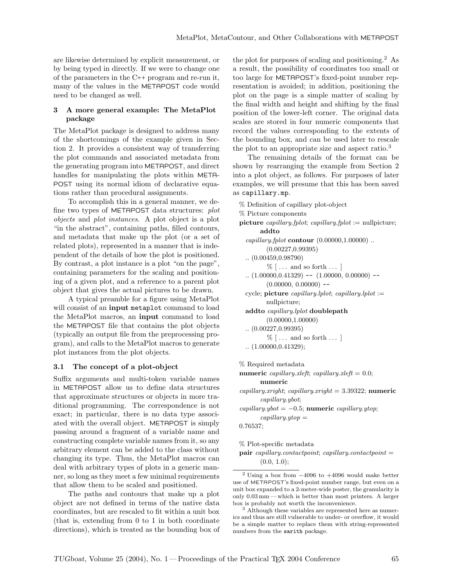are likewise determined by explicit measurement, or by being typed in directly. If we were to change one of the parameters in the C++ program and re-run it, many of the values in the METAPOST code would need to be changed as well.

# 3 A more general example: The MetaPlot package

The MetaPlot package is designed to address many of the shortcomings of the example given in Section 2. It provides a consistent way of transferring the plot commands and associated metadata from the generating program into METAPOST, and direct handles for manipulating the plots within META-POST using its normal idiom of declarative equations rather than procedural assignments.

To accomplish this in a general manner, we define two types of METAPOST data structures: plot objects and plot instances. A plot object is a plot "in the abstract", containing paths, filled contours, and metadata that make up the plot (or a set of related plots), represented in a manner that is independent of the details of how the plot is positioned. By contrast, a plot instance is a plot "on the page", containing parameters for the scaling and positioning of a given plot, and a reference to a parent plot object that gives the actual pictures to be drawn.

A typical preamble for a figure using MetaPlot will consist of an input metaplot command to load the MetaPlot macros, an input command to load the METAPOST file that contains the plot objects (typically an output file from the preprocessing program), and calls to the MetaPlot macros to generate plot instances from the plot objects.

### 3.1 The concept of a plot-object

Suffix arguments and multi-token variable names in METAPOST allow us to define data structures that approximate structures or objects in more traditional programming. The correspondence is not exact; in particular, there is no data type associated with the overall object. METAPOST is simply passing around a fragment of a variable name and constructing complete variable names from it, so any arbitrary element can be added to the class without changing its type. Thus, the MetaPlot macros can deal with arbitrary types of plots in a generic manner, so long as they meet a few minimal requirements that allow them to be scaled and positioned.

The paths and contours that make up a plot object are not defined in terms of the native data coordinates, but are rescaled to fit within a unit box (that is, extending from 0 to 1 in both coordinate directions), which is treated as the bounding box of the plot for purposes of scaling and positioning.<sup>2</sup> As a result, the possibility of coordinates too small or too large for METAPOST's fixed-point number representation is avoided; in addition, positioning the plot on the page is a simple matter of scaling by the final width and height and shifting by the final position of the lower-left corner. The original data scales are stored in four numeric components that record the values corresponding to the extents of the bounding box, and can be used later to rescale the plot to an appropriate size and aspect ratio.<sup>3</sup>

The remaining details of the format can be shown by rearranging the example from Section 2 into a plot object, as follows. For purposes of later examples, we will presume that this has been saved as capillary.mp.

- % Definition of capillary plot-object
- % Picture components
- picture *capillary.fplot*; *capillary.fplot* := nullpicture; addto
	- capillary.fplot contour  $(0.00000, 1.00000)$ ... (0.00227,0.99395) .. (0.00459,0.98790)  $\%$   $\left[ \ldots \right]$  and so forth  $\ldots$   $\left[ \right]$  $(1.00000, 0.41329)$  --  $(1.00000, 0.00000)$  -- $(0.00000, 0.00000)$  -cycle; picture capillary.lplot; capillary.lplot := nullpicture; addto capillary.lplot doublepath (0.00000,1.00000) .. (0.00227,0.99395)  $\%$   $\left[ \ldots \right]$  and so forth  $\ldots$   $\left[ \right]$

```
.. (1.00000,0.41329);
```
% Required metadata

numeric capillary.xleft; capillary.xleft =  $0.0$ ; numeric

 $capillary.xright; capillary.xright = 3.39322; **numeric**$ capillary.ybot;

capillary.ybot =  $-0.5$ ; numeric capillary.ytop;  $capillary.ytop =$ 

0.76537;

- % Plot-specific metadata
- $pair\; capillary.context point; \; capillary.context point =$  $(0.0, 1.0);$

<sup>&</sup>lt;sup>2</sup> Using a box from  $-4096$  to  $+4096$  would make better use of METAPOST's fixed-point number range, but even on a unit box expanded to a 2-meter-wide poster, the granularity is only 0.03 mm— which is better than most printers. A larger box is probably not worth the inconvenience.

<sup>3</sup> Although these variables are represented here as numerics and thus are still vulnerable to under- or overflow, it would be a simple matter to replace them with string-represented numbers from the sarith package.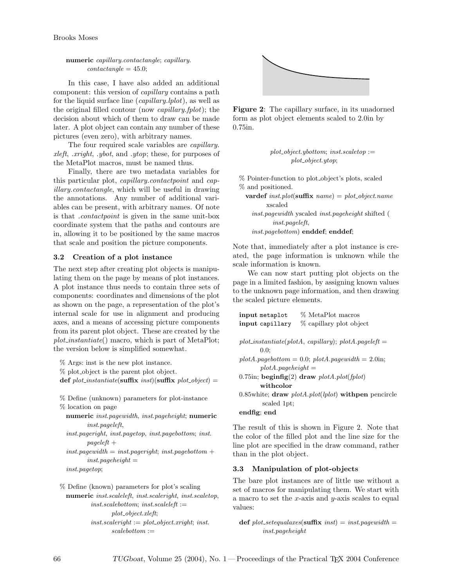# numeric capillary.contactangle; capillary.  $contact angle = 45.0;$

In this case, I have also added an additional component: this version of capillary contains a path for the liquid surface line (capillary.lplot), as well as the original filled contour (now capillary.fplot); the decision about which of them to draw can be made later. A plot object can contain any number of these pictures (even zero), with arbitrary names.

The four required scale variables are *capillary*. xleft, .xright, .ybot, and .ytop; these, for purposes of the MetaPlot macros, must be named thus.

Finally, there are two metadata variables for this particular plot, capillary.contactpoint and capillary.contactangle, which will be useful in drawing the annotations. Any number of additional variables can be present, with arbitrary names. Of note is that .contactpoint is given in the same unit-box coordinate system that the paths and contours are in, allowing it to be positioned by the same macros that scale and position the picture components.

# 3.2 Creation of a plot instance

The next step after creating plot objects is manipulating them on the page by means of plot instances. A plot instance thus needs to contain three sets of components: coordinates and dimensions of the plot as shown on the page, a representation of the plot's internal scale for use in alignment and producing axes, and a means of accessing picture components from its parent plot object. These are created by the  $plot_instantiate()$  macro, which is part of MetaPlot; the version below is simplified somewhat.

% Args: inst is the new plot instance.

% plot object is the parent plot object.

def plot\_instantiate(suffix inst)(suffix plot\_object) =

% Define (unknown) parameters for plot-instance % location on page

numeric inst.pagewidth, inst.pageheight; numeric inst.pageleft,

inst.pageright, inst.pagetop, inst.pagebottom; inst.  $paqeleft +$ 

 $inst. page width = inst. page right; inst. page bottom +$  $inst. page height =$ 

inst.pagetop;

```
% Define (known) parameters for plot's scaling
  numeric inst.scaleleft, inst.scaleright, inst.scaletop,
           inst.scale bottom; inst.scale left :=plot_object.xleft;
           inst. scale right := plot\_object. x right; inst.scalebottom :=
```


Figure 2: The capillary surface, in its unadorned form as plot object elements scaled to 2.0in by 0.75in.

> $plot\_object.ypottom; inst.scaletop :=$  $plot\_object.ut$

% Pointer-function to plot object's plots, scaled % and positioned.

vardef inst.plot(suffix  $name) = plot\_object.name$ xscaled inst.pagewidth yscaled inst.pageheight shifted ( inst.pageleft,

inst.pagebottom) enddef; enddef;

Note that, immediately after a plot instance is created, the page information is unknown while the scale information is known.

We can now start putting plot objects on the page in a limited fashion, by assigning known values to the unknown page information, and then drawing the scaled picture elements.

| input metaplot          | % MetaPlot macros                                         |
|-------------------------|-----------------------------------------------------------|
| input capillary         | % capillary plot object                                   |
|                         |                                                           |
|                         | $plot\_instantiate(plotA, capillary); plotA, pageleft =$  |
| $0.0$ :                 |                                                           |
|                         | $plot A, page bottom = 0.0; plot A, page width = 2.0$ in; |
| $plot A. page height =$ |                                                           |
|                         | 0.75in; beginfig(2) draw $plotA.plot(fplot)$              |
| withcolor               |                                                           |
|                         | 0.85 white; draw $plotA.plot(plot)$ with pen pencircle    |
| scaled 1pt;             |                                                           |
| endfig: end             |                                                           |
|                         |                                                           |

The result of this is shown in Figure 2. Note that the color of the filled plot and the line size for the line plot are specified in the draw command, rather than in the plot object.

# 3.3 Manipulation of plot-objects

The bare plot instances are of little use without a set of macros for manipulating them. We start with a macro to set the x-axis and y-axis scales to equal values:

```
def plot_setequalaxes(suffix inst) = inst.pagewidth =
        inst.pageheight
```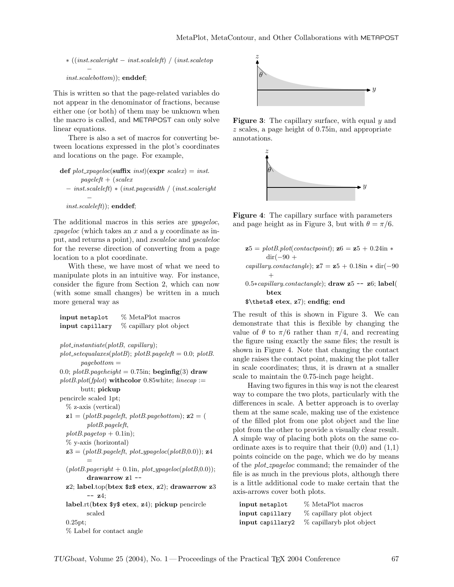∗ ((inst.scaleright − inst.scaleleft) / (inst.scaletop − inst.scalebottom)); enddef;

This is written so that the page-related variables do not appear in the denominator of fractions, because either one (or both) of them may be unknown when the macro is called, and METAPOST can only solve linear equations.

There is also a set of macros for converting between locations expressed in the plot's coordinates and locations on the page. For example,

```
def plot_xpageloc(suffix inst)(expr scalex) = inst.
       pageleft + (scalex)− inst.scaleleft) ∗ (inst.pagewidth / (inst.scaleright
         −
```

```
inst.scaleleft)); enddef;
```
The additional macros in this series are *ypageloc*,  $zpageloc$  (which takes an x and a y coordinate as input, and returns a point), and xscaleloc and yscaleloc for the reverse direction of converting from a page location to a plot coordinate.

With these, we have most of what we need to manipulate plots in an intuitive way. For instance, consider the figure from Section 2, which can now (with some small changes) be written in a much more general way as

| input metaplot                         | % MetaPlot macros                                                           |
|----------------------------------------|-----------------------------------------------------------------------------|
| input capillary                        | % capillary plot object                                                     |
|                                        |                                                                             |
| $plot\_instantiate(plotB, capillary);$ |                                                                             |
|                                        | $plot\_setequalsces(plotB); plotB, pageleft = 0.0; plotB.$                  |
| $paqebottom =$                         |                                                                             |
|                                        | 0.0; $plotB$ . <i>pageheight</i> = 0.75in; <b>beginfigi&gt;fig</b> (3) draw |
|                                        | $plotB.plot(fplot)$ withcolor 0.85white; linecap :=                         |
| butt; pickup                           |                                                                             |
| pencircle scaled 1pt;                  |                                                                             |
| $\%$ z-axis (vertical)                 |                                                                             |
|                                        | $z1 = (plotB, pageleft, plotB, pagebottom); z2 = ($                         |
| plotB, page left,                      |                                                                             |
| $plotB.\text{page}top + 0.1\text{in};$ |                                                                             |
| $\%$ y-axis (horizontal)               |                                                                             |
|                                        | $z3 = (plotB, pageleft, plot\_ypageloc(plotB, 0.0)); z4$                    |
|                                        |                                                                             |
|                                        | $(plotB, page right + 0.1in, plot\_ypageloc(plotB, 0.0));$                  |
| drawarrow $z1 -$                       |                                                                             |
|                                        | z2; label.top(btex \$z\$ etex, z2); drawarrow z3                            |
| $-- z4$                                |                                                                             |
|                                        | label.rt(btex $\frac{1}{2}$ etex, z4); pickup pencircle                     |
| scaled                                 |                                                                             |
| 0.25pt;                                |                                                                             |
| % Label for contact angle              |                                                                             |



**Figure 3:** The capillary surface, with equal  $y$  and z scales, a page height of 0.75in, and appropriate annotations.



Figure 4: The capillary surface with parameters and page height as in Figure 3, but with  $\theta = \pi/6$ .

| $\mathbf{z}5 = plotB.plot(contact point); \mathbf{z}6 = \mathbf{z}5 + 0.24$ in * |
|----------------------------------------------------------------------------------|
| $\mathrm{dir}(-90 +$                                                             |
| capillary.contactangle); $z7 = z5 + 0.18$ in * dir(-90                           |
|                                                                                  |
| 0.5*capillary.contactangle); $d$ raw z5 -- z6; label(                            |
| btex                                                                             |
| \$\theta\$ etex, z7); endfig; end                                                |

The result of this is shown in Figure 3. We can demonstrate that this is flexible by changing the value of  $\theta$  to  $\pi/6$  rather than  $\pi/4$ , and recreating the figure using exactly the same files; the result is shown in Figure 4. Note that changing the contact angle raises the contact point, making the plot taller in scale coordinates; thus, it is drawn at a smaller scale to maintain the 0.75-inch page height.

Having two figures in this way is not the clearest way to compare the two plots, particularly with the differences in scale. A better approach is to overlay them at the same scale, making use of the existence of the filled plot from one plot object and the line plot from the other to provide a visually clear result. A simple way of placing both plots on the same coordinate axes is to require that their  $(0,0)$  and  $(1,1)$ points coincide on the page, which we do by means of the *plot\_zpageloc* command; the remainder of the file is as much in the previous plots, although there is a little additional code to make certain that the axis-arrows cover both plots.

| input metaplot   | % MetaPlot macros        |
|------------------|--------------------------|
| input capillary  | % capillary plot object  |
| input capillary2 | % capillaryb plot object |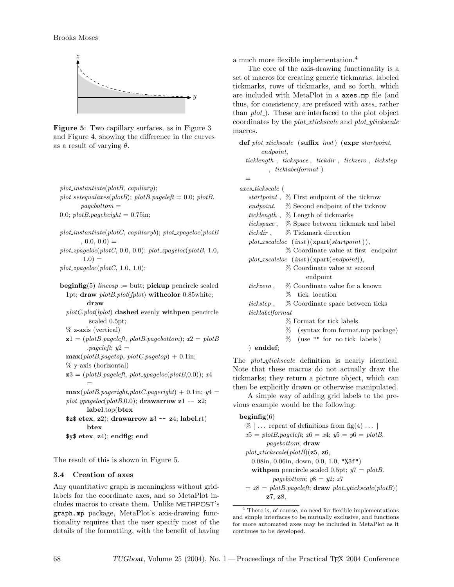

Figure 5: Two capillary surfaces, as in Figure 3 and Figure 4, showing the difference in the curves as a result of varying  $\theta$ .

```
plot\_instantiate(plotB, capillary);plot_setequalaxes(plotB); plotB.pageleft = 0.0; plotB.
        paqebottom =0.0; plotB.\textit{pageheight} = 0.75\text{in};
```

```
plot{\_}instantiate(plotC, \ capillary b); plot{\_}zpageloc(plotB, 0.0, 0.0) =
```

```
plot\_zpaqeloc(plotC, 0.0, 0.0); plot\_zpaqeloc(plotB, 1.0,1.0) =
```
 $plot\_zpageloc(plotC, 1.0, 1.0);$ 

```
\text{begining}(5) linecap := butt; pickup pencircle scaled
  1pt; draw plotB.plot(fplot) withcolor 0.85white;
         draw
```

```
plotC.plot(lplot) dashed evenly withpen pencircle
       scaled 0.5pt;
% z-axis (vertical)
```

```
z1 = (plotB, pageleft, plotB, pagebottom); x2 = plotBp_0 = k; y_2 =\max(\text{plotB}.\text{pagetop}, \text{plotC}.\text{pagetop}) + 0.1\text{in};% y-axis (horizontal)
z3 = (plotB, pageleft, plot\_ypageloc(plotB, 0.0)); x4=
\max(plotB.pageright, plotC.pageright) + 0.1in; y4 =plot_ypageloc(plotB,0.0); drawarrow z1 -- z2;
       label.top(btex
$z$ tetex, z2; drawarrow z3 - z4; label.rt(
```
btex \$y\$ etex, z4); endfig; end

The result of this is shown in Figure 5.

#### 3.4 Creation of axes

Any quantitative graph is meaningless without gridlabels for the coordinate axes, and so MetaPlot includes macros to create them. Unlike METAPOST's graph.mp package, MetaPlot's axis-drawing functionality requires that the user specify most of the details of the formatting, with the benefit of having a much more flexible implementation.<sup>4</sup>

The core of the axis-drawing functionality is a set of macros for creating generic tickmarks, labeled tickmarks, rows of tickmarks, and so forth, which are included with MetaPlot in a axes.mp file (and thus, for consistency, are prefaced with *axes* rather than  $plot_{-}$ ). These are interfaced to the plot object coordinates by the plot\_xtickscale and plot\_ytickscale macros.

def  $plot\_xtickscale$  (suffix inst) (expr startpoint, endpoint, ticklength , tickspace , tickdir , tickzero , tickstep , ticklabelformat )

= axes tickscale (

|                   | <i>startpoint</i> , % First endpoint of the tickrow   |
|-------------------|-------------------------------------------------------|
|                   | <i>endpoint</i> , % Second endpoint of the tickrow    |
|                   | ticklength, % Length of tickmarks                     |
|                   | <i>tickspace</i> , % Space between tickmark and label |
| $tickdir$ .       | % Tickmark direction                                  |
|                   | $plot\_xscaleloc (inst)(\text{spart}(startpoint)),$   |
|                   | % Coordinate value at first endpoint                  |
|                   | $plot\_xscaleloc (inst)(xpart(endpoint)),$            |
|                   | % Coordinate value at second                          |
| endpoint          |                                                       |
| tickzero,         | % Coordinate value for a known                        |
|                   | % tick location                                       |
| $ticksep$ ,       | % Coordinate space between ticks                      |
| tick label format |                                                       |
|                   | % Format for tick labels                              |
|                   | (syntax from format.mp package)<br>%                  |
|                   | % (use "" for no tick labels)                         |
| enddef;           |                                                       |

The *plot-ytickscale* definition is nearly identical. Note that these macros do not actually draw the tickmarks; they return a picture object, which can then be explicitly drawn or otherwise manipulated.

A simple way of adding grid labels to the previous example would be the following:

 $begin{bmatrix}6 \end{bmatrix}$  $\%$  [... repeat of definitions from fig(4)...]  $x5 = plotB$ .*pageleft*;  $x6 = x4$ ;  $y5 = y6 = plotB$ .pagebottom; draw  $plot\_xtickscale(plotB)(z5, z6,$ 0.08in, 0.06in, down, 0.0, 1.0, "%3f") with pencircle scaled 0.5pt;  $y7 = plotB$ . pagebottom;  $y8 = y2$ ; x7  $= x8 = plotB$ .*pageleft*; **draw** *plot\\_ytickscale*(*plotB*)( z7, z8,

<sup>4</sup> There is, of course, no need for flexible implementations and simple interfaces to be mutually exclusive, and functions for more automated axes may be included in MetaPlot as it continues to be developed.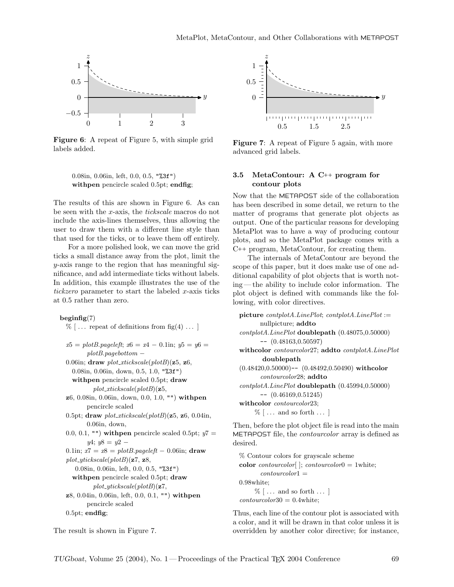

Figure 6: A repeat of Figure 5, with simple grid labels added.

0.08in, 0.06in, left, 0.0, 0.5, "%3f") withpen pencircle scaled 0.5pt; endfig;

The results of this are shown in Figure 6. As can be seen with the x-axis, the tickscale macros do not include the axis-lines themselves, thus allowing the user to draw them with a different line style than that used for the ticks, or to leave them off entirely.

For a more polished look, we can move the grid ticks a small distance away from the plot, limit the y-axis range to the region that has meaningful significance, and add intermediate ticks without labels. In addition, this example illustrates the use of the tickzero parameter to start the labeled x-axis ticks at 0.5 rather than zero.

#### $begin{bmatrix} 6 & 7 \end{bmatrix}$

 $\%$  [... repeat of definitions from fig(4) ... ]  $x5 = plotB$ .*pageleft*;  $x6 = x4 - 0.1$ in;  $y5 = y6 = 0.1$ plotB.pagebottom − 0.06in; draw  $plot\_xtickscale(plotB)(z5, z6,$ 0.08in, 0.06in, down, 0.5, 1.0, "%3f") withpen pencircle scaled 0.5pt; draw  $plot\_xtickscale(plotB)(z5,$ z6, 0.08in, 0.06in, down, 0.0, 1.0, "") withpen pencircle scaled 0.5pt; draw  $plot\_xtickscale(plotB)(z5, z6, 0.04in,$ 0.06in, down, 0.0, 0.1, "") with pen pencircle scaled 0.5pt;  $y7 =$  $y4$ ;  $y8 = y2 -$ 0.1in;  $x7 = x8 = plotB$ .*pageleft* - 0.06in; **draw** $plot\_ytickscale(plotB)(z7, z8,$ 0.08in, 0.06in, left, 0.0, 0.5, "%3f") with pencircle scaled 0.5pt; draw  $plot\_ytickscale(plotB)(z7,$ z8, 0.04in, 0.06in, left, 0.0, 0.1, "") withpen pencircle scaled 0.5pt; endfig;



Figure 7: A repeat of Figure 5 again, with more advanced grid labels.

# 3.5 MetaContour: A C++ program for contour plots

Now that the METAPOST side of the collaboration has been described in some detail, we return to the matter of programs that generate plot objects as output. One of the particular reasons for developing MetaPlot was to have a way of producing contour plots, and so the MetaPlot package comes with a C++ program, MetaContour, for creating them.

The internals of MetaContour are beyond the scope of this paper, but it does make use of one additional capability of plot objects that is worth noting — the ability to include color information. The plot object is defined with commands like the following, with color directives.

| $picture\ contplot A. LinePlot; \ contplot A. LinePlot :=$        |
|-------------------------------------------------------------------|
| nullpicture; addto                                                |
| contplotA.LinePlot doublepath (0.48075,0.50000)                   |
| $-$ (0.48163,0.50597)                                             |
| withcolor <i>contourcolor</i> 27; addto <i>contplotA.LinePlot</i> |
| doublepath                                                        |
| $(0.48420, 0.50000)$ -- $(0.48492, 0.50490)$ withcolor            |
| <i>contourcolor</i> 28; addto                                     |
| contplotA.LinePlot doublepath (0.45994,0.50000)                   |
| $-$ (0.46169,0.51245)                                             |
| withcolor <i>contourcolor</i> 23;                                 |
| $\%$ [ and so forth ]                                             |
| Then, before the plot object file is read into the main           |

METAPOST file, the *contourcolor* array is defined as desired.

% Contour colors for grayscale scheme color *contourcolor* $[$ ; *contourcolor* $0 = 1$  white;  $contourcolor1 =$ 0.98white;  $\%$   $\lceil \dots$  and so forth  $\dots \rceil$  $contourcolor30 = 0.4 \text{white};$ 

Thus, each line of the contour plot is associated with a color, and it will be drawn in that color unless it is overridden by another color directive; for instance,

The result is shown in Figure 7.